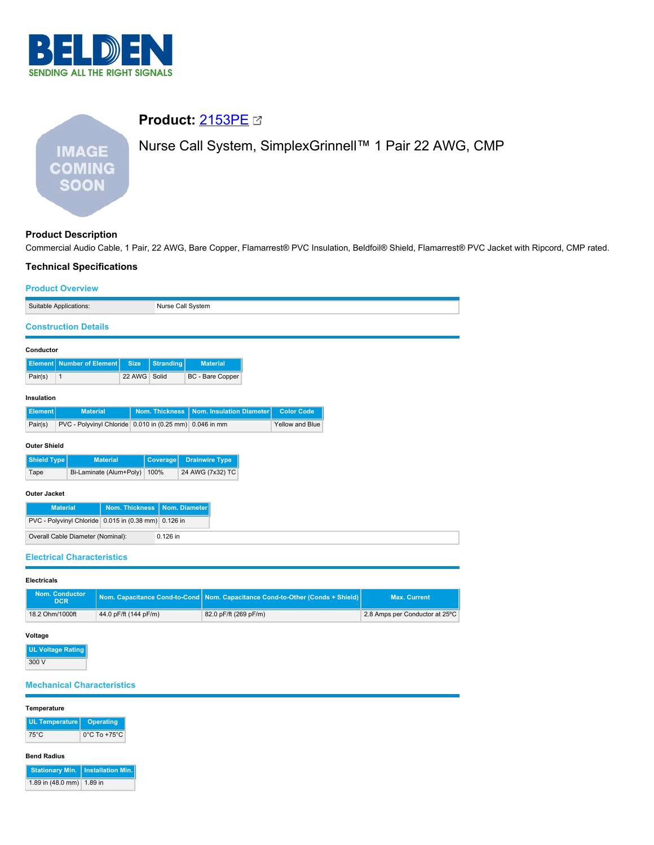

# **Product:** [2153PE](https://catalog.belden.com/index.cfm?event=pd&p=PF_2153PE&tab=downloads) Nurse Call System, SimplexGrinnell™ 1 Pair 22 AWG, CMP **IMAGE COMING SOON**

# **Product Description**

Commercial Audio Cable, 1 Pair, 22 AWG, Bare Copper, Flamarrest® PVC Insulation, Beldfoil® Shield, Flamarrest® PVC Jacket with Ripcord, CMP rated.

## **Technical Specifications**

## **Product Overview**

| TUUUUL UYULYIUW                         |                                                         |                |                   |                       |                  |                          |                   |
|-----------------------------------------|---------------------------------------------------------|----------------|-------------------|-----------------------|------------------|--------------------------|-------------------|
| Suitable Applications:                  |                                                         |                | Nurse Call System |                       |                  |                          |                   |
| <b>Construction Details</b>             |                                                         |                |                   |                       |                  |                          |                   |
| Conductor                               |                                                         |                |                   |                       |                  |                          |                   |
| <b>Element</b>                          | <b>Number of Element</b>                                | <b>Size</b>    | <b>Stranding</b>  |                       | <b>Material</b>  |                          |                   |
| Pair(s)<br>$\mathbf{1}$                 |                                                         | 22 AWG         | Solid             |                       | BC - Bare Copper |                          |                   |
| Insulation                              |                                                         |                |                   |                       |                  |                          |                   |
| <b>Element</b>                          | <b>Material</b>                                         |                | Nom. Thickness    |                       |                  | Nom. Insulation Diameter | <b>Color Code</b> |
| Pair(s)                                 | PVC - Polyvinyl Chloride 0.010 in (0.25 mm) 0.046 in mm |                |                   |                       |                  |                          | Yellow and Blue   |
| <b>Outer Shield</b>                     |                                                         |                |                   |                       |                  |                          |                   |
| <b>Shield Type</b>                      | <b>Material</b>                                         |                | Coverage          | <b>Drainwire Type</b> |                  |                          |                   |
| Bi-Laminate (Alum+Poly)<br>100%<br>Tape |                                                         |                | 24 AWG (7x32) TC  |                       |                  |                          |                   |
| <b>Outer Jacket</b>                     |                                                         |                |                   |                       |                  |                          |                   |
| <b>Material</b>                         |                                                         | Nom. Thickness |                   | Nom. Diameter         |                  |                          |                   |
|                                         | PVC - Polyvinyl Chloride 0.015 in (0.38 mm) 0.126 in    |                |                   |                       |                  |                          |                   |
|                                         | Overall Cable Diameter (Nominal):                       |                | 0.126 in          |                       |                  |                          |                   |
|                                         | <b>Electrical Characteristics</b>                       |                |                   |                       |                  |                          |                   |

#### **Electricals**

| <b>Nom. Conductor</b><br><b>DCR</b> |                       | Nom. Capacitance Cond-to-Cond   Nom. Capacitance Cond-to-Other (Conds + Shield)   \ | <b>Max. Current</b>            |
|-------------------------------------|-----------------------|-------------------------------------------------------------------------------------|--------------------------------|
| 18.2 Ohm/1000ft                     | 44.0 pF/ft (144 pF/m) | 82.0 pF/ft (269 pF/m)                                                               | 2.8 Amps per Conductor at 25°C |

#### **Voltage**

| <b>UL Voltage Rating</b> |
|--------------------------|
| 300 V                    |

# **Mechanical Characteristics**

## **Temperature**

| UL Temperature   Operating |                                   |
|----------------------------|-----------------------------------|
| 75°C                       | $0^{\circ}$ C To +75 $^{\circ}$ C |

# **Bend Radius**

|                           | Stationary Min.   Installation Min. |
|---------------------------|-------------------------------------|
| 1.89 in (48.0 mm) 1.89 in |                                     |